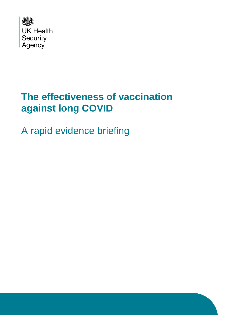

# **The effectiveness of vaccination against long COVID**

A rapid evidence briefing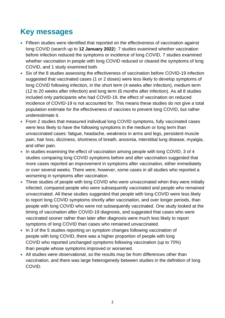### **Key messages**

- Fifteen studies were identified that reported on the effectiveness of vaccination against long COVID (search up to **12 January 2022**): 7 studies examined whether vaccination before infection reduced the symptoms or incidence of long COVID, 7 studies examined whether vaccination in people with long COVID reduced or cleared the symptoms of long COVID, and 1 study examined both.
- Six of the 8 studies assessing the effectiveness of vaccination before COVID-19 infection suggested that vaccinated cases (1 or 2 doses) were less likely to develop symptoms of long COVID following infection, in the short term (4 weeks after infection), medium term (12 to 20 weeks after infection) and long term (6 months after infection). As all 8 studies included only participants who had COVID-19, the effect of vaccination on reduced incidence of COVID-19 is not accounted for. This means these studies do not give a total population estimate for the effectiveness of vaccines to prevent long COVID, but rather underestimate it.
- From 2 studies that measured individual long COVID symptoms, fully vaccinated cases were less likely to have the following symptoms in the medium or long term than unvaccinated cases: fatigue, headache, weakness in arms and legs, persistent muscle pain, hair loss, dizziness, shortness of breath, anosmia, interstitial lung disease, myalgia, and other pain.
- In studies examining the effect of vaccination among people with long COVID, 3 of 4 studies comparing long COVID symptoms before and after vaccination suggested that more cases reported an improvement in symptoms after vaccination, either immediately or over several weeks. There were, however, some cases in all studies who reported a worsening in symptoms after vaccination.
- Three studies of people with long COVID who were unvaccinated when they were initially infected, compared people who were subsequently vaccinated and people who remained unvaccinated. All these studies suggested that people with long-COVID were less likely to report long COVID symptoms shortly after vaccination, and over longer periods, than people with long COVID who were not subsequently vaccinated. One study looked at the timing of vaccination after COVID-19 diagnosis, and suggested that cases who were vaccinated sooner rather than later after diagnosis were much less likely to report symptoms of long COVID than cases who remained unvaccinated.
- In 3 of the 5 studies reporting on symptom changes following vaccination of people with long COVID, there was a higher proportion of people with long COVID who reported unchanged symptoms following vaccination (up to 70%) than people whose symptoms improved or worsened.
- All studies were observational, so the results may be from differences other than vaccination, and there was large heterogeneity between studies in the definition of long COVID.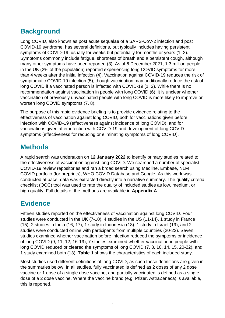### **Background**

Long COVID, also known as post acute sequalae of a SARS-CoV-2 infection and post COVID-19 syndrome, has several definitions, but typically includes having persistent symptoms of COVID-19, usually for weeks but potentially for months or years (1, 2). Symptoms commonly include fatigue, shortness of breath and a persistent cough, although many other symptoms have been reported (3). As of 6 December 2021, 1.3 million people in the UK (2% of the population) reported experiencing long COVID symptoms for more than 4 weeks after the initial infection (4). Vaccination against COVID-19 reduces the risk of symptomatic COVID-19 infection (5), though vaccination may additionally reduce the risk of long COVID if a vaccinated person is infected with COVID-19 (1, 2). While there is no recommendation against vaccination in people with long COVID (6), it is unclear whether vaccination of previously unvaccinated people with long COVID is more likely to improve or worsen long COVID symptoms (7, 8).

The purpose of this rapid evidence briefing is to provide evidence relating to the effectiveness of vaccination against long COVID, both for vaccinations given before infection with COVID-19 (effectiveness against incidence of long COVID), and for vaccinations given after infection with COVID-19 and development of long COVID symptoms (effectiveness for reducing or eliminating symptoms of long COVID).

#### **Methods**

A rapid search was undertaken on **12 January 2022** to identify primary studies related to the effectiveness of vaccination against long COVID. We searched a number of specialist COVID-19 review repositories and ran a broad search using Medline, Embase, NLM COVID portfolio (for preprints), WHO COVID Database and Google. As this work was conducted at pace, data was extracted directly into a narrative summary. The quality criteria checklist (QCC) tool was used to rate the quality of included studies as low, medium, or high quality. Full details of the methods are available in **Appendix A**.

### **Evidence**

Fifteen studies reported on the effectiveness of vaccination against long COVID. Four studies were conducted in the UK (7-10), 4 studies in the US (11-14), 1 study in France (15), 2 studies in India (16, 17), 1 study in Indonesia (18), 1 study in Israel (19), and 2 studies were conducted online with participants from multiple countries (20-22). Seven studies examined whether vaccination before infection reduced the symptoms or incidence of long COVID (9, 11, 12, 16-19), 7 studies examined whether vaccination in people with long COVID reduced or cleared the symptoms of long COVID (7, 8, 10, 14, 15, 20-22), and 1 study examined both (13). **Table 1** shows the characteristics of each included study.

Most studies used different definitions of long COVID, as such these definitions are given in the summaries below. In all studies, fully vaccinated is defined as 2 doses of any 2 dose vaccine or 1 dose of a single dose vaccine, and partially vaccinated is defined as a single dose of a 2 dose vaccine. Where the vaccine brand (e.g. Pfizer, AstraZeneca) is available, this is reported.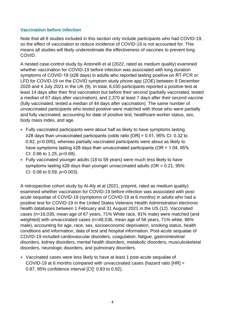#### **Vaccination before infection**

Note that all 8 studies included in this section only include participants who had COVID-19, so the effect of vaccination to reduce incidence of COVID-19 is not accounted for. This means all studies will likely underestimate the effectiveness of vaccines to prevent long COVID.

A nested case-control study by Antonelli et al (2022, rated as medium quality) examined whether vaccination for COVID-19 before infection was associated with long duration symptoms of COVID-19 (≥28 days) in adults who reported testing positive on RT-PCR or LFD for COVID-19 on the COVID symptom study phone app (ZOE) between 8 December 2020 and 4 July 2021 in the UK (9). In total, 6,030 participants reported a positive test at least 14 days after their first vaccination but before their second (partially vaccinated, tested a median of 67 days after vaccination), and 2,370 at least 7 days after their second vaccine (fully vaccinated, tested a median of 44 days after vaccination). The same number of unvaccinated participants who tested positive were matched with those who were partially and fully vaccinated, accounting for date of positive test, healthcare worker status, sex, body mass index, and age.

- Fully vaccinated participants were about half as likely to have symptoms lasting ≥28 days than unvaccinated participants (odds ratio [OR] = 0.51, 95% CI: 0.32 to 0.82, p=0.005), whereas partially vaccinated participants were about as likely to have symptoms lasting ≥28 days than unvaccinated participants (OR = 1.04, 95% CI: 0.86 to 1.25, p=0.69).
- Fully vaccinated younger adults (18 to 59 years) were much less likely to have symptoms lasting  $\geq 28$  days than younger unvaccinated adults (OR = 0.21, 95% CI: 0.08 to 0.59, p=0.003).

A retrospective cohort study by Al-Aly et al (2021, preprint, rated as medium quality) examined whether vaccination for COVID-19 before infection was associated with postacute sequelae of COVID-19 (symptoms of COVID-19 at 6 months) in adults who had a positive test for COVID-19 in the United States Veterans Health Administration electronic health databases between 1 February and 31 August 2021 in the US (12). Vaccinated cases (n=16,035, mean age of 67 years, 71% White race, 91% male) were matched (and weighted) with unvaccinated cases (n=48,536, mean age of 56 years, 71% white, 86% male), accounting for age, race, sex, socioeconomic deprivation, smoking status, health conditions and information, data of test and hospital information. Post-acute sequalae of COVID-19 included cardiovascular disorders, coagulation, fatigue, gastrointestinal disorders, kidney disorders, mental health disorders, metabolic disorders, musculoskeletal disorders, neurologic disorders, and pulmonary disorders.

• Vaccinated cases were less likely to have at least 1 post-acute sequalae of COVID-19 at 6 months compared with unvaccinated cases (hazard ratio [HR] = 0.87, 95% confidence interval [CI]: 0.83 to 0.92).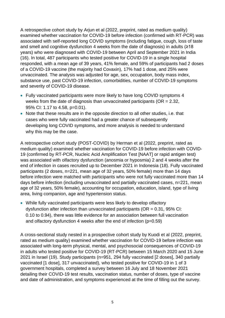A retrospective cohort study by Arjun et al (2022, preprint, rated as medium quality) examined whether vaccination for COVID-19 before infection (confirmed with RT-PCR) was associated with self-reported long COVID symptoms (including fatigue, cough, loss of taste and smell and cognitive dysfunction 4 weeks from the date of diagnosis) in adults (≥18 years) who were diagnosed with COVID-19 between April and September 2021 in India (16). In total, 487 participants who tested positive for COVID-19 in a single hospital responded, with a mean age of 39 years, 41% female, and 59% of participants had 2 doses of a COVID-19 vaccine (the majority had Covaxin), 17% had 1 dose, and 25% were unvaccinated. The analysis was adjusted for age, sex, occupation, body mass index, substance use, past COVID-19 infection, comorbidities, number of COVID-19 symptoms and severity of COVID-19 disease.

- Fully vaccinated participants were more likely to have long COVID symptoms 4 weeks from the date of diagnosis than unvaccinated participants ( $OR = 2.32$ , 95% CI: 1.17 to 4.58, p=0.01).
- Note that these results are in the opposite direction to all other studies, i.e. that cases who were fully vaccinated had a greater chance of subsequently developing long COVID symptoms, and more analysis is needed to understand why this may be the case.

A retrospective cohort study (POST-COVID) by Herman et al (2022, preprint, rated as medium quality) examined whether vaccination for COVID-19 before infection with COVID-19 (confirmed by RT-PCR, Nucleic Acid Amplification Test [NAAT] or rapid antigen test) was associated with olfactory dysfunction (anosmia or hyposmia) 2 and 4 weeks after the end of infection in cases recruited up to December 2021 in Indonesia (18). Fully vaccinated participants (2 doses, n=221, mean age of 32 years, 50% female) more than 14 days before infection were matched with participants who were not fully vaccinated more than 14 days before infection (including unvaccinated and partially vaccinated cases, n=221, mean age of 32 years, 50% female), accounting for occupation, education, island, type of living area, living companion, age and hypertension status.

• While fully vaccinated participants were less likely to develop olfactory dysfunction after infection than unvaccinated participants ( $OR = 0.31$ ,  $95\%$  CI: 0.10 to 0.94), there was little evidence for an association between full vaccination and olfactory dysfunction 4 weeks after the end of infection (p=0.59)

A cross-sectional study nested in a prospective cohort study by Kuodi et al (2022, preprint, rated as medium quality) examined whether vaccination for COVID-19 before infection was associated with long-term physical, mental, and psychosocial consequences of COVID-19 in adults who tested positive for COVID-19 (RT-PCR) between 15 March 2020 and 15 June 2021 in Israel (19). Study participants (n=951, 294 fully vaccinated [2 doses], 340 partially vaccinated [1 dose], 317 unvaccinated), who tested positive for COVID-19 in 1 of 3 government hospitals, completed a survey between 16 July and 18 November 2021 detailing their COVID-19 test results, vaccination status, number of doses, type of vaccine and date of administration, and symptoms experienced at the time of filling out the survey.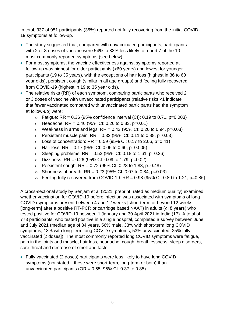In total, 337 of 951 participants (35%) reported not fully recovering from the initial COVID-19 symptoms at follow-up.

- The study suggested that, compared with unvaccinated participants, participants with 2 or 3 doses of vaccine were 54% to 83% less likely to report 7 of the 10 most commonly reported symptoms (see below).
- For most symptoms, the vaccine effectiveness against symptoms reported at follow-up was highest for older participants (>60 years) and lowest for younger participants (19 to 35 years), with the exceptions of hair loss (highest in 36 to 60 year olds), persistent cough (similar in all age groups) and feeling fully recovered from COVID-19 (highest in 19 to 35 year olds).
- The relative risks (RR) of each symptom, comparing participants who received 2 or 3 doses of vaccine with unvaccinated participants (relative risks <1 indicate that fewer vaccinated compared with unvaccinated participants had the symptom at follow-up) were:
	- $\circ$  Fatigue: RR = 0.36 (95% confidence interval (CI): 0.19 to 0.71, p=0.003)
	- $\circ$  Headache: RR = 0.46 (95% CI: 0.26 to 0.83, p=0.01)
	- $\circ$  Weakness in arms and legs: RR = 0.43 (95% CI: 0.20 to 0.94, p=0.03)
	- $\circ$  Persistent muscle pain: RR = 0.32 (95% CI: 0.11 to 0.88, p=0.03)
	- $\circ$  Loss of concentration: RR = 0.59 (95% CI: 0.17 to 2.06, p=0.41)
	- $\circ$  Hair loss: RR = 0.17 (95% CI: 0.06 to 0.60, p=0.005)
	- $\circ$  Sleeping problems: RR = 0.53 (95% CI: 0.18 to 1.61, p=0.26)
	- $O$  Dizziness: RR = 0.26 (95% CI: 0.09 to 1.79, p=0.02)
	- $\circ$  Persistent cough: RR = 0.72 (95% CI: 0.28 to 1.83, p=0.48)
	- $\circ$  Shortness of breath: RR = 0.23 (95% CI: 0.07 to 0.84, p=0.03)
	- $\circ$  Feeling fully recovered from COVID-19: RR = 0.98 (95% CI: 0.80 to 1.21, p=0.86)

A cross-sectional study by Senjam et al (2021, preprint, rated as medium quality) examined whether vaccination for COVID-19 before infection was associated with symptoms of long COVID (symptoms present between 4 and 12 weeks [short-term] or beyond 12 weeks [long-term] after a positive RT-PCR or cartridge based NAAT) in adults (≥18 years) who tested positive for COVID-19 between 1 January and 30 April 2021 in India (17). A total of 773 participants, who tested positive in a single hospital, completed a survey between June and July 2021 (median age of 34 years, 56% male, 33% with short-term long COVID symptoms, 13% with long-term long COVID symptoms, 53% unvaccinated, 25% fully vaccinated [2 doses]). The most commonly reported long COVID symptoms were fatigue, pain in the joints and muscle, hair loss, headache, cough, breathlessness, sleep disorders, sore throat and decrease of smell and taste.

• Fully vaccinated (2 doses) participants were less likely to have long COVID symptoms (not stated if these were short-term, long-term or both) than unvaccinated participants ( $OR = 0.55$ , 95% CI: 0.37 to 0.85)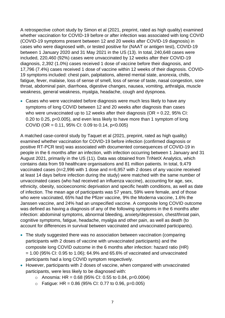A retrospective cohort study by Simon et al (2021, preprint, rated as high quality) examined whether vaccination for COVID-19 before or after infection was associated with long COVID (COVID-19 symptoms present between 12 and 20 weeks after COVID-19 diagnosis) in cases who were diagnosed with, or tested positive for (NAAT or antigen test), COVID-19 between 1 January 2020 and 31 May 2021 in the US (13). In total, 240,648 cases were included, 220,460 (92%) cases were unvaccinated by 12 weeks after their COVID-19 diagnosis, 2,392 (1.0%) cases received 1 dose of vaccine before their diagnosis, and 17,796 (7.4%) cases received 1 dose of vaccine within 12 weeks of their diagnosis. COVID-19 symptoms included: chest pain, palpitations, altered mental state, anorexia, chills, fatigue, fever, malaise, loss of sense of smell, loss of sense of taste, nasal congestion, sore throat, abdominal pain, diarrhoea, digestive changes, nausea, vomiting, arthralgia, muscle weakness, general weakness, myalgia, headache, cough and dyspnoea.

• Cases who were vaccinated before diagnosis were much less likely to have any symptoms of long COVID between 12 and 20 weeks after diagnosis than cases who were unvaccinated up to 12 weeks after their diagnosis ( $OR = 0.22$ ,  $95\%$  CI: 0.20 to 0.25, p<0.005), and even less likely to have more than 1 symptom of long COVID (OR =  $0.11$ , 95% CI: 0.09 to 0.14, p<0.005)

A matched case-control study by Taquet et al (2021, preprint, rated as high quality) examined whether vaccination for COVID-19 before infection (confirmed diagnosis or positive RT-PCR test) was associated with documented consequences of COVID-19 in people in the 6 months after an infection, with infection occurring between 1 January and 31 August 2021, primarily in the US (11). Data was obtained from TriNetX Analytics, which contains data from 59 healthcare organisations and 81 million patients. In total, 9,479 vaccinated cases (n=2,996 with 1 dose and n=6,957 with 2 doses of any vaccine received at least 14 days before infection during the study) were matched with the same number of unvaccinated cases (who had received an influenza vaccine), accounting for age, sex, ethnicity, obesity, socioeconomic deprivation and specific health conditions, as well as date of infection. The mean age of participants was 57 years, 59% were female, and of those who were vaccinated, 65% had the Pfizer vaccine, 9% the Moderna vaccine, 1.6% the Janssen vaccine, and 24% had an unspecified vaccine. A composite long COVID outcome was defined as having a diagnosis of any of the following symptoms in the 6 months after infection: abdominal symptoms, abnormal bleeding, anxiety/depression, chest/throat pain, cognitive symptoms, fatigue, headache, myalgia and other pain, as well as death (to account for differences in survival between vaccinated and unvaccinated participants).

- The study suggested there was no association between vaccination (comparing participants with 2 doses of vaccine with unvaccinated participants) and the composite long COVID outcome in the 6 months after infection: hazard ratio (HR)  $= 1.00$  (95% CI: 0.95 to 1.06); 64.9% and 65.6% of vaccinated and unvaccinated participants had a long COVID symptom respectively.
- However, participants with 2 doses of vaccine, when compared with unvaccinated participants, were less likely to be diagnosed with:
	- $\circ$  Anosmia: HR = 0.68 (95% CI: 0.55 to 0.84, p=0.0004)
	- $\circ$  Fatigue: HR = 0.86 (95% CI: 0.77 to 0.96, p=0.005)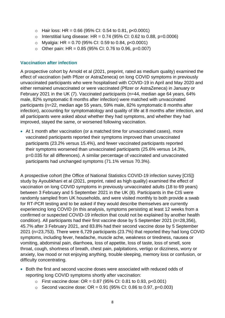- $\circ$  Hair loss: HR = 0.66 (95% CI: 0.54 to 0.81, p<0.0001)
- $\circ$  Interstitial lung disease: HR = 0.74 (95% CI: 0.62 to 0.88, p=0.0006)
- $\circ$  Myalgia: HR = 0.70 (95% CI: 0.59 to 0.84, p<0.0001)
- $\circ$  Other pain: HR = 0.85 (95% CI: 0.76 to 0.96, p=0.007)

#### **Vaccination after infection**

A prospective cohort by Arnold et al (2021, preprint, rated as medium quality) examined the effect of vaccination (with Pfizer or AstraZeneca) on long COVID symptoms in previously unvaccinated participants who were hospitalised with COVID-19 in April and May 2020 and either remained unvaccinated or were vaccinated (Pfizer or AstraZeneca) in January or February 2021 in the UK (7). Vaccinated participants (n=44, median age 64 years, 64% male, 82% symptomatic 8 months after infection) were matched with unvaccinated participants (n=22, median age 55 years, 59% male, 82% symptomatic 8 months after infection), accounting for symptomatology and quality of life at 8 months after infection, and all participants were asked about whether they had symptoms, and whether they had improved, stayed the same, or worsened following vaccination.

• At 1 month after vaccination (or a matched time for unvaccinated cases), more vaccinated participants reported their symptoms improved than unvaccinated participants (23.2% versus 15.4%), and fewer vaccinated participants reported their symptoms worsened than unvaccinated participants (25.6% versus 14.3%, p=0.035 for all differences). A similar percentage of vaccinated and unvaccinated participants had unchanged symptoms (71.1% versus 70.3%).

A prospective cohort (the Office of National Statistics COVID-19 infection survey [CIS]) study by Ayoubkhani et al (2021, preprint, rated as high quality) examined the effect of vaccination on long COVID symptoms in previously unvaccinated adults (18 to 69 years) between 3 February and 5 September 2021 in the UK (8). Participants in the CIS were randomly sampled from UK households, and were visited monthly to both provide a swab for RT-PCR testing and to be asked if they would describe themselves are currently experiencing long COVID (in this analysis, symptoms persisting at least 12 weeks from a confirmed or suspected COVID-19 infection that could not be explained by another health condition). All participants had their first vaccine dose by 5 September 2021 (n=28,356), 45.7% after 3 February 2021, and 83.8% had their second vaccine dose by 5 September 2021 (n=23,753). There were 6,729 participants (23.7%) that reported they had long COVID symptoms, including fever, headache, muscle ache, weakness or tiredness, nausea or vomiting, abdominal pain, diarrhoea, loss of appetite, loss of taste, loss of smell, sore throat, cough, shortness of breath, chest pain, palpitations, vertigo or dizziness, worry or anxiety, low mood or not enjoying anything, trouble sleeping, memory loss or confusion, or difficulty concentrating.

- Both the first and second vaccine doses were associated with reduced odds of reporting long COVID symptoms shortly after vaccination:
	- $\circ$  First vaccine dose: OR = 0.87 (95% CI: 0.81 to 0.93, p<0.001)
	- $\circ$  Second vaccine dose: OR = 0.91 (95% CI: 0.86 to 0.97, p=0.003)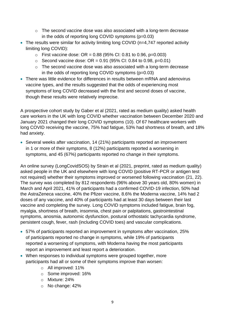- o The second vaccine dose was also associated with a long-term decrease in the odds of reporting long COVID symptoms (p=0.03)
- The results were similar for activity limiting long COVID (n=4,747 reported activity limiting long COVID):
	- $\circ$  First vaccine dose: OR = 0.88 (95% CI: 0.81 to 0.96, p=0.003)
	- $\circ$  Second vaccine dose: OR = 0.91 (95% CI: 0.84 to 0.98, p=0.01)
	- o The second vaccine dose was also associated with a long-term decrease in the odds of reporting long COVID symptoms (p=0.03)
- There was little evidence for differences in results between mRNA and adenovirus vaccine types, and the results suggested that the odds of experiencing most symptoms of long COVID decreased with the first and second doses of vaccine, though these results were relatively imprecise.

A prospective cohort study by Gaber et al (2021, rated as medium quality) asked health care workers in the UK with long COVID whether vaccination between December 2020 and January 2021 changed their long COVID symptoms (10). Of 67 healthcare workers with long COVID receiving the vaccine, 75% had fatigue, 53% had shortness of breath, and 18% had anxiety.

• Several weeks after vaccination, 14 (21%) participants reported an improvement in 1 or more of their symptoms, 8 (12%) participants reported a worsening in symptoms, and 45 (67%) participants reported no change in their symptoms.

An online survey (LongCovidSOS) by Strain et al (2021, preprint, rated as medium quality) asked people in the UK and elsewhere with long COVID (positive RT-PCR or antigen test not required) whether their symptoms improved or worsened following vaccination (21, 22). The survey was completed by 812 respondents (96% above 30 years old, 80% women) in March and April 2021, 41% of participants had a confirmed COVID-19 infection, 50% had the AstraZeneca vaccine, 40% the Pfizer vaccine, 8.6% the Moderna vaccine, 14% had 2 doses of any vaccine, and 40% of participants had at least 30 days between their last vaccine and completing the survey. Long COVID symptoms included fatigue, brain fog, myalgia, shortness of breath, insomnia, chest pain or palpitations, gastrointestinal symptoms, anosmia, autonomic dysfunction, postural orthostatic tachycardia syndrome, persistent cough, fever, rash (including COVID toes) and vascular complications.

- 57% of participants reported an improvement in symptoms after vaccination, 25% of participants reported no change in symptoms, while 19% of participants reported a worsening of symptoms, with Moderna having the most participants report an improvement and least report a deterioration.
- When responses to individual symptoms were grouped together, more participants had all or some of their symptoms improve than worsen:
	- o All improved: 11%
	- o Some improved: 16%
	- o Mixture: 24%
	- o No change: 42%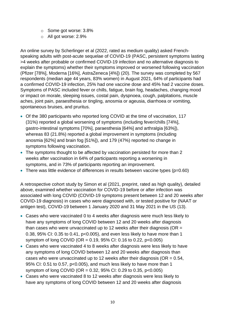- o Some got worse: 3.8%
- o All got worse: 2.9%

An online survey by Scherlinger et al (2022, rated as medium quality) asked Frenchspeaking adults with post-acute sequelae of COVID-19 (PASC, persistent symptoms lasting >4 weeks after probable or confirmed COVID-19 infection and no alternative diagnosis to explain the symptoms) whether their symptoms improved or worsened following vaccination (Pfizer [78%], Moderna [16%], AstraZeneca [4%]) (20). The survey was completed by 567 respondents (median age 44 years, 83% women) in August 2021, 64% of participants had a confirmed COVID-19 infection, 25% had one vaccine dose and 45% had 2 vaccine doses. Symptoms of PASC included fever or chills, fatigue, brain fog, headaches, changing mood or impact on morale, sleeping issues, costal pain, dyspnoea, cough, palpitations, muscle aches, joint pain, paraesthesia or tingling, anosmia or ageusia, diarrhoea or vomiting, spontaneous bruises, and pruritus.

- Of the 380 participants who reported long COVID at the time of vaccination, 117 (31%) reported a global worsening of symptoms (including fever/chills [74%], gastro-intestinal symptoms [70%], paraesthesia [64%] and arthralgia [63%]), whereas 83 (21.8%) reported a global improvement in symptoms (including anosmia [62%] and brain fog [51%]), and 179 (47%) reported no change in symptoms following vaccination.
- The symptoms thought to be affected by vaccination persisted for more than 2 weeks after vaccination in 64% of participants reporting a worsening in symptoms, and in 73% of participants reporting an improvement.
- There was little evidence of differences in results between vaccine types  $(p=0.60)$

A retrospective cohort study by Simon et al (2021, preprint, rated as high quality), detailed above, examined whether vaccination for COVID-19 before or after infection was associated with long COVID (COVID-19 symptoms present between 12 and 20 weeks after COVID-19 diagnosis) in cases who were diagnosed with, or tested positive for (NAAT or antigen test), COVID-19 between 1 January 2020 and 31 May 2021 in the US (13).

- Cases who were vaccinated 0 to 4 weeks after diagnosis were much less likely to have any symptoms of long COVID between 12 and 20 weeks after diagnosis than cases who were unvaccinated up to 12 weeks after their diagnosis ( $OR =$ 0.38, 95% CI: 0.35 to 0.41, p<0.005), and even less likely to have more than 1 symptom of long COVID (OR =  $0.19$ , 95% CI: 0.16 to 0.22, p<0.005)
- Cases who were vaccinated 4 to 8 weeks after diagnosis were less likely to have any symptoms of long COVID between 12 and 20 weeks after diagnosis than cases who were unvaccinated up to 12 weeks after their diagnosis ( $OR = 0.54$ , 95% CI: 0.51 to 0.57, p<0.005), and much less likely to have more than 1 symptom of long COVID (OR =  $0.32$ , 95% CI: 0.29 to 0.35, p<0.005)
- Cases who were vaccinated 8 to 12 weeks after diagnosis were less likely to have any symptoms of long COVID between 12 and 20 weeks after diagnosis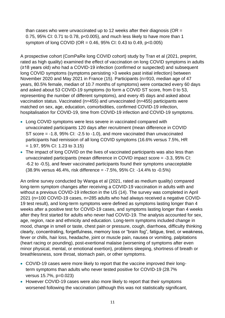than cases who were unvaccinated up to 12 weeks after their diagnosis ( $OR =$ 0.75, 95% CI: 0.71 to 0.78, p<0.005), and much less likely to have more than 1 symptom of long COVID (OR =  $0.46$ , 95% CI: 0.43 to 0.49, p<0.005)

A prospective cohort (ComPaRe long COVID cohort) study by Tran et al (2021, preprint, rated as high quality) examined the effect of vaccination on long COVID symptoms in adults (≥18 years old) who had a COVID-19 infection (confirmed or suspected) and subsequent long COVID symptoms (symptoms persisting >3 weeks past initial infection) between November 2020 and May 2021 in France (15). Participants (n=910, median age of 47 years, 80.5% female, median of 10.7 months of symptoms) were contacted every 60 days and asked about 53 COVID-19 symptoms (to form a COVID ST score, from 0 to 53, representing the number of different symptoms), and every 45 days and asked about vaccination status. Vaccinated (n=455) and unvaccinated (n=455) participants were matched on sex, age, education, comorbidities, confirmed COVID-19 infection, hospitalisation for COVID-19, time from COVID-19 infection and COVID-19 symptoms.

- Long COVID symptoms were less severe in vaccinated compared with unvaccinated participants 120 days after recruitment (mean difference in COVID ST score = -1.8, 95% CI: -2.5 to -1.0), and more vaccinated than unvaccinated participants had remission of all long COVID symptoms (16.6% versus 7.5%, HR  $= 1.97, 95\% \text{ Cl: } 1.23 \text{ to } 3.15$
- The impact of long COVID on the lives of vaccinated participants was also less than unvaccinated participants (mean difference in COVID impact score = -3.3, 95% CI: -6.2 to -0.5), and fewer vaccinated participants found their symptoms unacceptable (38.9% versus 46.4%, risk difference = -7.5%, 95% CI: -14.4% to -0.5%)

An online survey conducted by Wanga et al (2021, rated as medium quality) compared long-term symptom changes after receiving a COVID-19 vaccination in adults with and without a previous COVID-19 infection in the US (14). The survey was completed in April 2021 (n=100 COVID-19 cases, n=285 adults who had always received a negative COVID-19 test result), and long-term symptoms were defined as symptoms lasting longer than 4 weeks after a positive test for COVID-19 cases, and symptoms lasting longer than 4 weeks after they first started for adults who never had COVID-19. The analysis accounted for sex, age, region, race and ethnicity and education. Long-term symptoms included change in mood, change in smell or taste, chest pain or pressure, cough, diarrhoea, difficulty thinking clearly, concentrating, forgetfulness, memory loss or "brain fog", fatigue, tired, or weakness, fever or chills, hair loss, headache, joint or muscle pain, nausea or vomiting, palpitations (heart racing or pounding), post-exertional malaise (worsening of symptoms after even minor physical, mental, or emotional exertion), problems sleeping, shortness of breath or breathlessness, sore throat, stomach pain, or other symptoms.

- COVID-19 cases were more likely to report that the vaccine improved their longterm symptoms than adults who never tested positive for COVID-19 (28.7% versus 15.7%, p=0.023)
- However COVID-19 cases were also more likely to report that their symptoms worsened following the vaccination (although this was not statistically significant,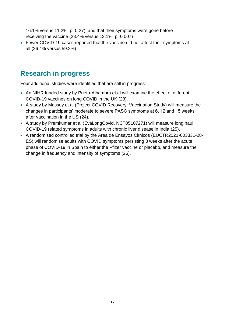16.1% versus 11.2%, p=0.27), and that their symptoms were gone before receiving the vaccine (28.4% versus 13.1%, p=0.007)

• Fewer COVID-19 cases reported that the vaccine did not affect their symptoms at all (26.4% versus 59.2%)

#### **Research in progress**

Four additional studies were identified that are still in progress:

- An NIHR funded study by Prieto-Alhambra et al will examine the effect of different COVID-19 vaccines on long COVID in the UK (23).
- A study by Massey et al (Project COVID Recovery: Vaccination Study) will measure the changes in participants' moderate to severe PASC symptoms at 6, 12 and 15 weeks after vaccination in the US (24).
- A study by Premkumar et al (EvaLongCovid, NCT05107271) will measure long haul COVID-19 related symptoms in adults with chronic liver disease in India (25).
- A randomised controlled trial by the Área de Ensayos Clínicos (EUCTR2021-003331-28- ES) will randomise adults with COVID symptoms persisting 3 weeks after the acute phase of COVID-19 in Spain to either the Pfizer vaccine or placebo, and measure the change in frequency and intensity of symptoms (26).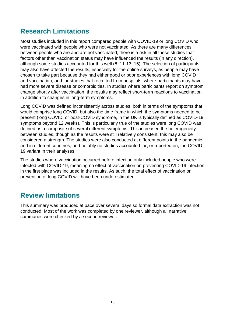### **Research Limitations**

Most studies included in this report compared people with COVID-19 or long COVID who were vaccinated with people who were not vaccinated. As there are many differences between people who are and are not vaccinated, there is a risk in all these studies that factors other than vaccination status may have influenced the results (in any direction), although some studies accounted for this well (8, 11-13, 15). The selection of participants may also have affected the results, especially for the online surveys, as people may have chosen to take part because they had either good or poor experiences with long COVID and vaccination, and for studies that recruited from hospitals, where participants may have had more severe disease or comorbidities. In studies where participants report on symptom change shortly after vaccination, the results may reflect short-term reactions to vaccination in addition to changes in long-term symptoms.

Long COVID was defined inconsistently across studies, both in terms of the symptoms that would comprise long COVID, but also the time frame in which the symptoms needed to be present (long COVID, or post-COVID syndrome, in the UK is typically defined as COVID-19 symptoms beyond 12 weeks). This is particularly true of the studies were long COVID was defined as a composite of several different symptoms. This increased the heterogeneity between studies, though as the results were still relatively consistent, this may also be considered a strength. The studies were also conducted at different points in the pandemic and in different countries, and notably no studies accounted for, or reported on, the COVID-19 variant in their analyses.

The studies where vaccination occurred before infection only included people who were infected with COVID-19, meaning no effect of vaccination on preventing COVID-19 infection in the first place was included in the results. As such, the total effect of vaccination on prevention of long COVID will have been underestimated.

#### **Review limitations**

This summary was produced at pace over several days so formal data extraction was not conducted. Most of the work was completed by one reviewer, although all narrative summaries were checked by a second reviewer.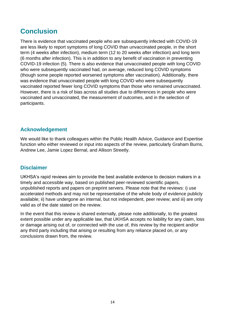### **Conclusion**

There is evidence that vaccinated people who are subsequently infected with COVID-19 are less likely to report symptoms of long COVID than unvaccinated people, in the short term (4 weeks after infection), medium term (12 to 20 weeks after infection) and long term (6 months after infection). This is in addition to any benefit of vaccination in preventing COVID-19 infection (5). There is also evidence that unvaccinated people with long COVID who were subsequently vaccinated had, on average, reduced long COVID symptoms (though some people reported worsened symptoms after vaccination). Additionally, there was evidence that unvaccinated people with long COVID who were subsequently vaccinated reported fewer long COVID symptoms than those who remained unvaccinated. However, there is a risk of bias across all studies due to differences in people who were vaccinated and unvaccinated, the measurement of outcomes, and in the selection of participants.

#### **Acknowledgement**

We would like to thank colleagues within the Public Health Advice, Guidance and Expertise function who either reviewed or input into aspects of the review, particularly Graham Burns, Andrew Lee, Jamie Lopez Bernal, and Allison Streetly.

#### **Disclaimer**

UKHSA's rapid reviews aim to provide the best available evidence to decision makers in a timely and accessible way, based on published peer-reviewed scientific papers, unpublished reports and papers on preprint servers. Please note that the reviews: i) use accelerated methods and may not be representative of the whole body of evidence publicly available; ii) have undergone an internal, but not independent, peer review; and iii) are only valid as of the date stated on the review.

In the event that this review is shared externally, please note additionally, to the greatest extent possible under any applicable law, that UKHSA accepts no liability for any claim, loss or damage arising out of, or connected with the use of, this review by the recipient and/or any third party including that arising or resulting from any reliance placed on, or any conclusions drawn from, the review.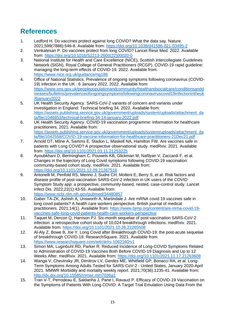### **References**

- 1. Ledford H. Do vaccines protect against long COVID? What the data say. Nature. 2021;599(7886):546-8. Available from:<https://doi.org/10.1038/d41586-021-03495-2>
- 2. Venkatesan P. Do vaccines protect from long COVID? Lancet Resir Med. 2022. Available from: [https://doi.org/10.1016/S2213-2600\(22\)00020-0](https://doi.org/10.1016/S2213-2600(22)00020-0)
- 3. National Institute for Health and Care Excellence (NICE), Scottish Intercollegiate Guidelines Network (SIGN), Royal College of General Practitioners (RCGP). COVID-19 rapid guideline: managing the long-term effects of COVID-19. 2022. Available from: <https://www.nice.org.uk/guidance/ng188>
- 4. Office of National Statistics. Prevalence of ongoing symptoms following coronavirus (COVID-19) infection in the UK : 6 January 2022. 2022. Available from: [https://www.ons.gov.uk/peoplepopulationandcommunity/healthandsocialcare/conditionsandd](https://www.ons.gov.uk/peoplepopulationandcommunity/healthandsocialcare/conditionsanddiseases/bulletins/prevalenceofongoingsymptomsfollowingcoronaviruscovid19infectionintheuk/6january2022) [iseases/bulletins/prevalenceofongoingsymptomsfollowingcoronaviruscovid19infectionintheuk](https://www.ons.gov.uk/peoplepopulationandcommunity/healthandsocialcare/conditionsanddiseases/bulletins/prevalenceofongoingsymptomsfollowingcoronaviruscovid19infectionintheuk/6january2022) [/6january2022](https://www.ons.gov.uk/peoplepopulationandcommunity/healthandsocialcare/conditionsanddiseases/bulletins/prevalenceofongoingsymptomsfollowingcoronaviruscovid19infectionintheuk/6january2022)
- 5. UK Health Security Agency. SARS-CoV-2 variants of concern and variants under investigation in England: Technical briefing 34. 2022. Available from: [https://assets.publishing.service.gov.uk/government/uploads/system/uploads/attachment\\_da](https://assets.publishing.service.gov.uk/government/uploads/system/uploads/attachment_data/file/1046853/technical-briefing-34-14-january-2022.pdf) [ta/file/1046853/technical-briefing-34-14-january-2022.pdf](https://assets.publishing.service.gov.uk/government/uploads/system/uploads/attachment_data/file/1046853/technical-briefing-34-14-january-2022.pdf)
- 6. UK Health Security Agency. COVID-19 vaccination programme: Information for healthcare practitioners. 2021. Available from: [https://assets.publishing.service.gov.uk/government/uploads/system/uploads/attachment\\_da](https://assets.publishing.service.gov.uk/government/uploads/system/uploads/attachment_data/file/1042558/COVID-19-vaccine-information-for-healthcare-practitioners-21Dec21.pdf) [ta/file/1042558/COVID-19-vaccine-information-for-healthcare-practitioners-21Dec21.pdf](https://assets.publishing.service.gov.uk/government/uploads/system/uploads/attachment_data/file/1042558/COVID-19-vaccine-information-for-healthcare-practitioners-21Dec21.pdf)
- 7. Arnold DT, Milne A, Samms E, Stadon L, Maskell NA, Hamilton FW. Are vaccines safe in patients with Long COVID? A prospective observational study. medRxiv. 2021. Available from:<https://doi.org/10.1101/2021.03.11.21253225>
- 8. Ayoubkhani D, Bermingham C, Pouwels KB, Glickman M, Nafilyan V, Zaccardi F, et al. Changes in the trajectory of Long Covid symptoms following COVID-19 vaccination: community-based cohort study. medRxiv. 2021. Available from: <https://doi.org/10.1101/2021.12.09.21267516>
- 9. Antonelli M, Penfold RS, Merino J, Sudre CH, Molteni E, Berry S, et al. Risk factors and disease profile of post-vaccination SARS-CoV-2 infection in UK users of the COVID Symptom Study app: a prospective, community-based, nested, case-control study. Lancet Infect Dis. 2022;22(1):43-55. Available from: <https://www.ncbi.nlm.nih.gov/pubmed/34480857>
- 10. Gaber TA-ZK, Ashish A, Unsworth A, Martindale J. Are mRNA covid 19 vaccines safe in long covid patients? A health care workers perspective. British journal of medical practitioners. 2021;14(1). Available from: [https://www.bjmp.org/content/are-mrna-covid-19](https://www.bjmp.org/content/are-mrna-covid-19-vaccines-safe-long-covid-patients-health-care-workers-perspective) [vaccines-safe-long-covid-patients-health-care-workers-perspective](https://www.bjmp.org/content/are-mrna-covid-19-vaccines-safe-long-covid-patients-health-care-workers-perspective)
- 11. Taquet M, Dercon Q, Harrison PJ. Six-month sequelae of post-vaccination SARS-CoV-2 infection: a retrospective cohort study of 10,024 breakthrough infections. medRxiv. 2021. Available from:<https://doi.org/10.1101/2021.10.26.21265508>
- 12. Al-Aly Z, Bowe B, Xie Y. Long Covid after Breakthrough COVID-19: the post-acute sequelae of breakthrough COVID-19. ResearchSquare. 2021. Available from: <https://www.researchsquare.com/article/rs-1062160/v1>
- 13. Simon MA, Luginbuhl RD, Parker R. Reduced Incidence of Long-COVID Symptoms Related to Administration of COVID-19 Vaccines Both Before COVID-19 Diagnosis and Up to 12 Weeks After. medRxiv. 2021. Available from:<https://doi.org/10.1101/2021.11.17.21263608>
- 14. Wanga V, Chevinsky JR, Dimitrov LV, Gerdes ME, Whitfield GP, Bonacci RA, et al. Long-Term Symptoms Among Adults Tested for SARS-CoV-2 - United States, January 2020-April 2021. MMWR Morbidity and mortality weekly report. 2021;70(36):1235-41. Available from: <http://dx.doi.org/10.15585/mmwr.mm7036a1>
- 15. Tran V-T, Perrodeau E, Saldanha J, Pane I, Ravaud P. Efficacy of COVID-19 Vaccination on the Symptoms of Patients With Long COVID: A Target Trial Emulation Using Data From the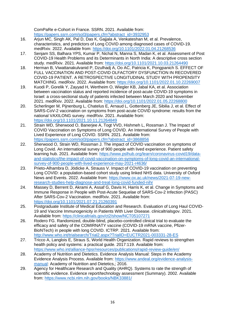ComPaRe e-Cohort in France. SSRN. 2021. Available from: [https://papers.ssrn.com/sol3/papers.cfm?abstract\\_id=3932953](https://papers.ssrn.com/sol3/papers.cfm?abstract_id=3932953)

- 16. Arjun MC, Singh AK, Pal D, Das K, Gajjala A, Venkateshan M, et al. Prevalence, characteristics, and predictors of Long COVID among diagnosed cases of COVID-19. medRxiv. 2022. Available from:<https://doi.org/10.1101/2022.01.04.21268536>
- 17. Senjam SS, Balhara YPS, Kumar P, Nichal N, Manna S, Madan K, et al. Assessment of Post COVID-19 Health Problems and its Determinants in North India: A descriptive cross section study. medRxiv. 2021. Available from:<https://doi.org/10.1101/2021.10.03.21264490>
- 18. Herman B, Viwattanakulvanid P, Dzulhadj A, Oo AC, Patricia K, Pongpanich S. EFFECT OF FULL VACCINATION AND POST-COVID OLFACTORY DYSFUNCTION IN RECOVERED COVID-19 PATIENT. A RETROSPECTIVE LONGITUDINAL STUDY WITH PROPENSITY MATCHING. medRxiv. 2022. Available from:<https://doi.org/10.1101/2022.01.10.22269007>
- 19. Kuodi P, Gorelik Y, Zayyad H, Wertheim O, Wiegler KB, Jabal KA, et al. Association between vaccination status and reported incidence of post-acute COVID-19 symptoms in Israel: a cross-sectional study of patients infected between March 2020 and November 2021. medRxiv. 2022. Available from:<https://doi.org/10.1101/2022.01.05.22268800>
- 20. Scherlinger M, Pijnenburg L, Chatelus E, Arnaud L, Gottenberg JE, Sibilia J, et al. Effect of SARS-CoV-2 vaccination on symptoms from post-acute COVID syndrome: results from the national VAXILONG survey. medRxiv. 2021. Available from: <https://doi.org/10.1101/2021.10.11.21264849>
- 21. Strain WD, Sherwood O, Banerjee A, Togt VVD, Hishmeh L, Rossman J. The Impact of COVID Vaccination on Symptoms of Long COVID. An International Survey of People with Lived Experience of Long COVID. SSRN. 2021. Available from: [https://papers.ssrn.com/sol3/papers.cfm?abstract\\_id=3868856](https://papers.ssrn.com/sol3/papers.cfm?abstract_id=3868856)
- 22. Sherwood O, Strain WD, Rossman J. The impact of COVID vaccination on symptoms of Long Covid. An international survey of 900 people with lived experience. Patient safety learning hub. 2021. Available from: [https://www.pslhub.org/learn/coronavirus-covid19/data](https://www.pslhub.org/learn/coronavirus-covid19/data-and-statistics/the-impact-of-covid-vaccination-on-symptoms-of-long-covid-an-international-survey-of-900-people-with-lived-experience-may-2021-r4636/)[and-statistics/the-impact-of-covid-vaccination-on-symptoms-of-long-covid-an-international](https://www.pslhub.org/learn/coronavirus-covid19/data-and-statistics/the-impact-of-covid-vaccination-on-symptoms-of-long-covid-an-international-survey-of-900-people-with-lived-experience-may-2021-r4636/)[survey-of-900-people-with-lived-experience-may-2021-r4636/](https://www.pslhub.org/learn/coronavirus-covid19/data-and-statistics/the-impact-of-covid-vaccination-on-symptoms-of-long-covid-an-international-survey-of-900-people-with-lived-experience-may-2021-r4636/)
- 23. Prieto-Alhambra D, Jödicke A, Strauss V. Impact of COVID-19 vaccination on preventing Long COVID: a population-based cohort study using linked NHS data. University of Oxford News and Events. 2022. Available from: [https://www.ox.ac.uk/news/2021-07-19-new](https://www.ox.ac.uk/news/2021-07-19-new-research-studies-help-diagnose-and-treat-long-covid-funded-nihr)[research-studies-help-diagnose-and-treat-long-covid-funded-nihr](https://www.ox.ac.uk/news/2021-07-19-new-research-studies-help-diagnose-and-treat-long-covid-funded-nihr)
- 24. Massey D, Berrent D, Akrami A, Assaf G, Davis H, Harris K, et al. Change in Symptoms and Immune Response in People with Post-Acute Sequelae of SARS-Cov-2 Infection (PASC) After SARS-Cov-2 Vaccination. medRxiv. 2021. Available from: <https://doi.org/10.1101/2021.07.21.21260391>
- 25. Postgraduate Institute of Medical Education and Research. Evaluation of Long Haul COVID-19 and Vaccine Immunogenicity in Patients With Liver Disease. clinicaltrialsgov. 2021. Available from:<https://clinicaltrials.gov/ct2/show/NCT05107271>
- 26. Rodero FG. Randomized, double-blind, placebo-controlled clinical trial to evaluate the efficacy and safety of the COMIRNATY vaccine (COVID-19 mRNA vaccine, Pfizer-BioNTech) in people with long COVID. ICTRP. 2021. Available from: <http://www.who.int/trialsearch/Trial2.aspx?TrialID=EUCTR2021-003331-28-ES>
- 27. Tricco A, Langlois E, Straus S, World Health Organization. Rapid reviews to strengthen health policy and systems: a practical guide. 2017:119. Available from: <https://www.who.int/alliance-hpsr/resources/publications/rapid-review-guide/en/>
- 28. Academy of Nutrition and Dietetics. Evidence Analysis Manual: Steps in the Academy Evidence Analysis Process. Available from: [https://www.andeal.org/evidence-analysis](https://www.andeal.org/evidence-analysis-manual)[manual:](https://www.andeal.org/evidence-analysis-manual) Academy of Nutrition and Dietetics.: 2016.
- 29. Agency for Healthcare Research and Quality (AHRQ). Systems to rate the strength of scientific evidence. Evidence report/technology assessment (Summary). 2002. Available from:<https://www.ncbi.nlm.nih.gov/books/NBK33881/>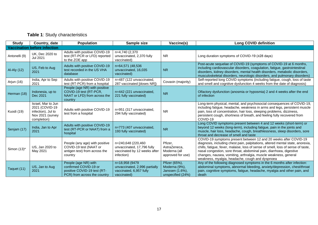| Table 1: Study characteristics |  |
|--------------------------------|--|
|--------------------------------|--|

| <b>Study</b>  | Country, date                                                                                 | <b>Population</b>                                                                                            | Sample size                                                                                    | Vaccine(s)                                                             | <b>Long COVID definition</b>                                                                                                                                                                                                                                                                                                                                                                                                        |
|---------------|-----------------------------------------------------------------------------------------------|--------------------------------------------------------------------------------------------------------------|------------------------------------------------------------------------------------------------|------------------------------------------------------------------------|-------------------------------------------------------------------------------------------------------------------------------------------------------------------------------------------------------------------------------------------------------------------------------------------------------------------------------------------------------------------------------------------------------------------------------------|
|               | <b>Vaccination before infection</b>                                                           |                                                                                                              |                                                                                                |                                                                        |                                                                                                                                                                                                                                                                                                                                                                                                                                     |
| Antonelli (9) | UK, Dec 2020 to<br>Jul 2021                                                                   | Adults with positive COVID-19<br>test (RT-PCR or LFD) reported<br>to the ZOE app                             | n=4,740 (2,370<br>unvaccinated, 2,370 fully<br>vaccinated)                                     | <b>NR</b>                                                              | Long duration symptoms of COVID-19 (≥28 days)                                                                                                                                                                                                                                                                                                                                                                                       |
| Al-Aly (12)   | US, Feb to Aug<br>2021                                                                        | Adults with positive COVID-19<br>test recorded in the US VHA<br>database                                     | n=64,571 (48,536)<br>unvaccinated, 16,035<br>vaccinated)                                       | <b>NR</b>                                                              | Post-acute sequelae of COVID-19 (symptoms of COVID-19 at 6 months,<br>including cardiovascular disorders, coagulation, fatigue, gastrointestinal<br>disorders, kidney disorders, mental health disorders, metabolic disorders,<br>musculoskeletal disorders, neurologic disorders, and pulmonary disorders)                                                                                                                         |
| Arjun (16)    | India, Apr to Sep<br>2021                                                                     | Adults with positive COVID-19<br>test (RT-PCR) from a hospital                                               | n=487 (122 unvaccinated,<br>287 vaccinated [doses NR])                                         | Covaxin (majority)                                                     | Self-reported long COVID symptoms (including fatigue, cough, loss of taste<br>and smell and cognitive dysfunction 4 weeks from the date of diagnosis)                                                                                                                                                                                                                                                                               |
| Herman (18)   | Indonesia, up to<br>Dec 2021                                                                  | People (age NR) with positive<br>COVID-19 test (RT-PCR,<br>NAAT or LFD) from across the<br>country           | n=442 (221 unvaccinated,<br>221 fully vaccinated)                                              | <b>NR</b>                                                              | Olfactory dysfunction (anosmia or hyposmia) 2 and 4 weeks after the end<br>of infection                                                                                                                                                                                                                                                                                                                                             |
| Kuodi (19)    | Israel, Mar to Jun<br>2021 (COVID-19<br>infection), Jul to<br>Nov 2021 (survey<br>completion) | Adults with positive COVID-19<br>test from a hospital                                                        | n=951 (317 unvaccinated,<br>294 fully vaccinated)                                              | <b>NR</b>                                                              | Long-term physical, mental, and psychosocial consequences of COVID-19,<br>including fatigue, headache, weakness in arms and legs, persistent muscle<br>pain, loss of concentration, hair loss, sleeping problems, dizziness,<br>persistent cough, shortness of breath, and feeling fully recovered from<br>COVID-19                                                                                                                 |
| Senjam (17)   | India, Jan to Apr<br>2021                                                                     | Adults with positive COVID-19<br>test (RT-PCR or NAAT) from a<br>hospital                                    | n=773 (407 unvaccinated,<br>193 fully vaccinated)                                              | <b>NR</b>                                                              | Long COVID symptoms present between 4 and 12 weeks (short-term) or<br>beyond 12 weeks (long-term), including fatigue, pain in the joints and<br>muscle, hair loss, headache, cough, breathlessness, sleep disorders, sore<br>throat and decrease of smell and taste                                                                                                                                                                 |
| Simon (13)*   | US, Jan 2020 to<br>May 2021                                                                   | People (any age) with positive<br>COVID-19 test (NAAT or<br>antigen test) from across the<br>country         | n=240,648 (220,460<br>unvaccinated, 17,796 fully<br>vaccinated by 12 weeks after<br>infection) | Pfizer.<br>AstraZeneca,<br>Moderna (all<br>approved for use)           | COVID-19 symptoms present between 12 and 20 weeks after COVID-19<br>diagnosis, including chest pain, palpitations, altered mental state, anorexia,<br>chills, fatigue, fever, malaise, loss of sense of smell, loss of sense of taste,<br>nasal congestion, sore throat, abdominal pain, diarrhoea, digestive<br>changes, nausea, vomiting, arthralgia, muscle weakness, general<br>weakness, myalgia, headache, cough and dyspnoea |
| Taquet (11)   | US, Jan to Aug<br>2021                                                                        | People (age NR) with<br>confirmed COVID-19 or<br>positive COVID-19 test (RT-<br>PCR) from across the country | n=18,958 (9479)<br>unvaccinated, 2,996 partially<br>vaccinated, 6,957 fully<br>vaccinated)     | Pfizer (65%),<br>Moderna (9%),<br>Janssen (1.6%),<br>unspecified (24%) | Any of the following diagnosed symptoms in the 6 months after infection:<br>abdominal symptoms, abnormal bleeding, anxiety/depression, chest/throat<br>pain, cognitive symptoms, fatigue, headache, myalgia and other pain, and<br>death                                                                                                                                                                                            |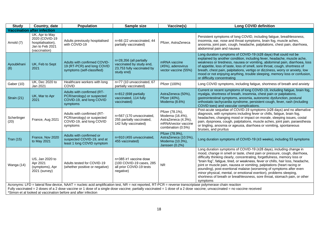| <b>Study</b>        | Country, date                                                                             | <b>Population</b>                                                                                                                                                                                                         | Sample size                                                                                     | Vaccine(s)                                                                                              | <b>Long COVID definition</b>                                                                                                                                                                                                                                                                                                                                                                                                                                                                                                                                                                                                       |
|---------------------|-------------------------------------------------------------------------------------------|---------------------------------------------------------------------------------------------------------------------------------------------------------------------------------------------------------------------------|-------------------------------------------------------------------------------------------------|---------------------------------------------------------------------------------------------------------|------------------------------------------------------------------------------------------------------------------------------------------------------------------------------------------------------------------------------------------------------------------------------------------------------------------------------------------------------------------------------------------------------------------------------------------------------------------------------------------------------------------------------------------------------------------------------------------------------------------------------------|
|                     | <b>Vaccination after infection</b>                                                        |                                                                                                                                                                                                                           |                                                                                                 |                                                                                                         |                                                                                                                                                                                                                                                                                                                                                                                                                                                                                                                                                                                                                                    |
| Arnold (7)          | UK, Apr to May<br>2020 (COVID-19<br>hospitalisation),<br>Jan to Feb 2021<br>(vaccination) | Adults previously hospitalised<br>with COVID-19                                                                                                                                                                           | n=66 (22 unvaccinated, 44<br>partially vaccinated)                                              | Pfizer, AstraZeneca                                                                                     | Persistent symptoms of long COVID, including fatigue, breathlessness,<br>insomnia, ear, nose and throat symptoms, brain fog, muscle aches,<br>anosmia, joint pain, cough, headache, palpitations, chest pain, diarrhoea,<br>abdominal pain and nausea                                                                                                                                                                                                                                                                                                                                                                              |
| Ayoubkhani<br>(8)   | UK, Feb to Sept<br>2021                                                                   | Adults with confirmed COVID-<br>19 (RT-PCR) and long COVID<br>symptoms (self-classified)                                                                                                                                  | n=28,356 (all partially<br>vaccinated by study end,<br>23,753 fully vaccinated by<br>study end) | mRNA vaccine<br>(45%), adenovirus<br>vector vaccine (55%)                                               | Long duration symptoms of COVID-19 (≥28 days) that could not be<br>explained by another condition, including fever, headache, muscle ache,<br>weakness or tiredness, nausea or vomiting, abdominal pain, diarrhoea, loss<br>of appetite, loss of taste, loss of smell, sore throat, cough, shortness of<br>breath, chest pain, palpitations, vertigo or dizziness, worry or anxiety, low<br>mood or not enjoying anything, trouble sleeping, memory loss or confusion,<br>or difficulty concentrating                                                                                                                              |
| Gaber (10)          | <b>UK, Dec 2020 to</b><br>Jan 2021                                                        | Healthcare workers with long<br><b>COVID</b>                                                                                                                                                                              | $n=77$ (10 unvaccinated, 67<br>partially vaccinated)                                            | Pfizer (100%)                                                                                           | Long COVID symptoms, including fatigue, shortness of breath and anxiety                                                                                                                                                                                                                                                                                                                                                                                                                                                                                                                                                            |
| Strain (21)         | UK, Mar to Apr<br>2021                                                                    | Adults with confirmed (RT-<br>PCR/serology) or suspected<br>COVID-19, and long COVID<br>symptoms                                                                                                                          | n=812 (698 partially<br>vaccinated, 114 fully<br>vaccinated)                                    | AstraZeneca (50%),<br>Pfizer (40%),<br>Moderna (8.6%)                                                   | Current or recent symptoms of long COVID-19, including fatigue, brain fog,<br>myalgia, shortness of breath, insomnia, chest pain or palpitations,<br>gastrointestinal symptoms, anosmia, autonomic dysfunction, postural<br>orthostatic tachycardia syndrome, persistent cough, fever, rash (including<br>COVID toes) and vascular complications.                                                                                                                                                                                                                                                                                  |
| Scherlinger<br>(20) | France, Aug 2021                                                                          | Adults with confirmed (RT-<br>PCR/serology) or suspected<br>COVID-19, and long COVID<br>symptoms                                                                                                                          | n=567 (170 unvaccinated,<br>255 partially vaccinated,<br>142 fully vaccinated)                  | Pfizer (78.1%),<br>Moderna (16.4%),<br>AstraZeneca (4.3%),<br>mRNA/vector vaccine<br>combination (0.5%) | Post-acute sequelae of COVID-19 symptoms (≥28 days) and no alternative<br>diagnosis, with symptoms including fever or chills, fatigue, brain fog,<br>headaches, changing mood or impact on morale, sleeping issues, costal<br>pain, dyspnoea, cough, palpitations, muscle aches, joint pain, paraesthesia<br>or tingling, anosmia or ageusia, diarrhoea or vomiting, spontaneous<br>bruises, and pruritus                                                                                                                                                                                                                          |
| <b>Tran (15)</b>    | France, Nov 2020<br>to May 2021                                                           | Adults with confirmed or<br>suspected COVID-19, and at<br>least 1 long COVID symptom                                                                                                                                      | n=910 (455 unvaccinated,<br>455 vaccinated)                                                     | Pfizer (78.9%),<br>AstraZeneca (10.5%),<br>Moderna (10.3%),<br>Janssen (0.2%)                           | Long duration symptoms of COVID-19 (≥3 weeks), including 53 symptoms                                                                                                                                                                                                                                                                                                                                                                                                                                                                                                                                                               |
| Wanga (14)          | US, Jan 2020 to<br>Apr 2021<br>(symptoms), Apr<br>2021 (survey)                           | Adults tested for COVID-19<br>(whether positive or negative)                                                                                                                                                              | n=385 ≥1 vaccine dose<br>(100 COVID-19 cases, 285)<br>all prior COVID-19 tests<br>negative)     | <b>NR</b>                                                                                               | Long duration symptoms of COVID-19 (≥28 days), including change in<br>mood, change in smell or taste, chest pain or pressure, cough, diarrhoea,<br>difficulty thinking clearly, concentrating, forgetfulness, memory loss or<br>"brain fog", fatigue, tired, or weakness, fever or chills, hair loss, headache,<br>joint or muscle pain, nausea or vomiting, palpitations (heart racing or<br>pounding), post-exertional malaise (worsening of symptoms after even<br>minor physical, mental, or emotional exertion), problems sleeping,<br>shortness of breath or breathlessness, sore throat, stomach pain, or other<br>symptoms |
|                     |                                                                                           | Acronyms: LFD = lateral flow device, NAAT = nucleic acid amplification test, NR = not reported, RT-PCR = reverse transcriptase polymerase chain reaction<br>*Simon et al looked at vaccination before and after infection |                                                                                                 |                                                                                                         | Fully vaccinated = 2 doses of a 2 dose vaccine or 1 dose of a single dose vaccine; partially vaccinated = 1 dose of a 2 dose vaccine; unvaccinated = no vaccine received                                                                                                                                                                                                                                                                                                                                                                                                                                                           |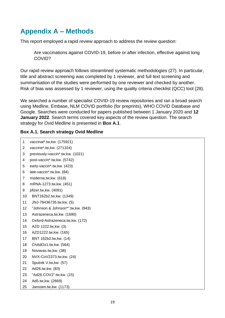### **Appendix A – Methods**

This report employed a rapid review approach to address the review question:

Are vaccinations against COVID-19, before or after infection, effective against long COVID?

Our rapid review approach follows streamlined systematic methodologies (27). In particular, title and abstract screening was completed by 1 reviewer, and full text screening and summarisation of the studies were performed by one reviewer and checked by another. Risk of bias was assessed by 1 reviewer, using the quality criteria checklist (QCC) tool (28).

We searched a number of specialist COVID-19 review repositories and ran a broad search using Medline, Embase, NLM COVID portfolio (for preprints), WHO COVID Database and Google. Searches were conducted for papers published between 1 January 2020 and **12 January 2022**. Search terms covered key aspects of the review question. The search strategy for Ovid Medline is presented in **Box A.1**.

#### **Box A.1. Search strategy Ovid Medline**

| 1  | vaccinat*.tw, kw. (175921)        |
|----|-----------------------------------|
| 2  | vaccine*.tw, kw. (271324)         |
| 3  | previously-vaccin*.tw, kw. (1021) |
| 4  | post-vaccin*.tw,kw. (5742)        |
| 5  | early-vaccin*.tw, kw. (423)       |
| 6  | late-vaccin*.tw, kw. (84)         |
| 7  | moderna.tw,kw. (618)              |
| 8  | mRNA-1273.tw, kw. (451)           |
| 9  | pfizer.tw,kw. (4091)              |
| 10 | BNT162b2.tw,kw. (1349)            |
| 11 | JNJ-78436735.tw, kw. (5)          |
| 12 | "Johnson & Johnson*".tw,kw. (943) |
| 13 | Astrazeneca.tw,kw. (1690)         |
| 14 | Oxford-Astrazeneca.tw, kw. (172)  |
| 15 | AZD 1222.tw, kw. (3)              |
| 16 | AZD1222.tw, kw. (165)             |
| 17 | BNT 162b2.tw, kw. (14)            |
| 18 | ChAdOx1.tw,kw. (564)              |
| 19 | Novavax.tw, kw. (38)              |
| 20 | NVX-CoV2373.tw, kw. (24)          |
| 21 | Sputnik V.tw, kw. (57)            |
| 22 | Ad26.tw, kw. (83)                 |
| 23 | "Ad26.COV2".tw,kw. (15)           |
| 24 | Ad5.tw,kw. (2669)                 |
| 25 | Janssen.tw, kw. (1173)            |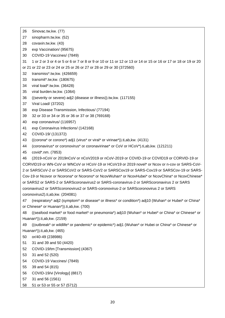26 Sinovac.tw,kw. (77)

- 27 sinopharm.tw,kw. (52)
- 28 covaxin.tw,kw. (43)
- 29 exp Vaccination/ (95675)
- 30 COVID-19 Vaccines/ (7849)

31 1 or 2 or 3 or 4 or 5 or 6 or 7 or 8 or 9 or 10 or 11 or 12 or 13 or 14 or 15 or 16 or 17 or 18 or 19 or 20 or 21 or 22 or 23 or 24 or 25 or 26 or 27 or 28 or 29 or 30 (372560)

- 32 transmiss\*.tw,kw. (426659)
- 33 transmit\*.tw,kw. (180675)
- 34 viral load\*.tw,kw. (36428)
- 35 viral burden.tw,kw. (1064)
- 36 ((severity or severe) adj2 (disease or illness)).tw,kw. (117155)
- 37 Viral Load/ (37202)
- 38 exp Disease Transmission, Infectious/ (77194)
- 39 32 or 33 or 34 or 35 or 36 or 37 or 38 (769168)
- 40 exp coronavirus/ (116957)
- 41 exp Coronavirus Infections/ (142168)
- 42 COVID-19/ (131372)
- 43 ((corona\* or corono\*) adj1 (virus\* or viral\* or virinae\*)).ti,ab,kw. (4131)
- 44 (coronavirus\* or coronovirus\* or coronavirinae\* or CoV or HCoV\*).ti,ab,kw. (121211)
- 45 covid\*.nm. (7853)

46 (2019-nCoV or 2019nCoV or nCoV2019 or nCoV-2019 or COVID-19 or COVID19 or CORVID-19 or CORVID19 or WN-CoV or WNCoV or HCoV-19 or HCoV19 or 2019 novel\* or Ncov or n-cov or SARS-CoV-2 or SARSCoV-2 or SARSCoV2 or SARS-CoV2 or SARSCov19 or SARS-Cov19 or SARSCov-19 or SARS-Cov-19 or Ncovor or Ncorona<sup>\*</sup> or Ncorono<sup>\*</sup> or NcovWuhan<sup>\*</sup> or NcovHubei<sup>\*</sup> or NcovChina\* or NcovChinese<sup>\*</sup> or SARS2 or SARS-2 or SARScoronavirus2 or SARS-coronavirus-2 or SARScoronavirus 2 or SARS coronavirus2 or SARScoronovirus2 or SARS-coronovirus-2 or SARScoronovirus 2 or SARS coronovirus2).ti,ab,kw. (204081)

47 (respiratory\* adj2 (symptom\* or disease\* or illness\* or condition\*) adj10 (Wuhan\* or Hubei\* or China\* or Chinese\* or Huanan\*)).ti,ab,kw. (700)

48 ((seafood market\* or food market\* or pneumonia\*) adj10 (Wuhan\* or Hubei\* or China\* or Chinese\* or Huanan\*)).ti,ab,kw. (2159)

49 ((outbreak\* or wildlife\* or pandemic\* or epidemic\*) adj1 (Wuhan\* or Hubei or China\* or Chinese\* or Huanan\*)).ti,ab,kw. (465)

- 50 or/40-49 (238986)
- 51 31 and 39 and 50 (4420)
- 52 COVID-19/tm [Transmission] (4367)
- 53 31 and 52 (520)
- 54 COVID-19 Vaccines/ (7849)
- 55 39 and 54 (815)
- 56 COVID-19/vi [Virology] (8817)
- 57 31 and 56 (1561)
- 58 51 or 53 or 55 or 57 (5712)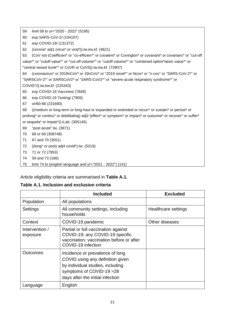59 limit 58 to yr="2020 - 2022" (5195)

60 exp SARS-CoV-2/ (104107)

61 exp COVID-19/ (131372)

62 (corona\* adj1 (virus\* or viral\*)).tw,kw,kf. (4621)

63 (CoV not (Coefficien\* or "co-efficien\*" or covalent\* or Covington\* or covariant\* or covarianc\* or "cut-off value\*" or "cutoff value\*" or "cut-off volume\*" or "cutoff volume\*" or "combined optimi?ation value\*" or "central vessel trunk\*" or CoVR or CoVS)).tw,kw,kf. (73907)

64 (coronavirus\* or 2019nCoV\* or 19nCoV\* or "2019 novel\*" or Ncov\* or "n-cov" or "SARS-CoV-2\*" or "SARSCoV-2\*" or SARSCoV2\* or "SARS-CoV2\*" or "severe acute respiratory syndrome\*" or COVID\*2).tw,kw,kf. (225343)

65 exp COVID-19 Vaccines/ (7849)

66 exp COVID-19 Testing/ (7905)

67 or/60-66 (231660)

68 ((medium or long-term or long-haul or expanded or extended or recurr\* or sustain\* or persist\* or prolong\* or continu\* or debilitating) adj2 (effect\* or symptom\* or impact\* or outcome\* or recover\* or suffer\* or sequela\* or impair\*)).ti,ab. (305145)

69 "post acute".tw. (3871)

- 70 68 or 69 (308748)
- 71 67 and 70 (3551)
- 72 ((long\* or post) adj4 covid\*).tw. (5319)
- 73 71 or 72 (7953)
- 74 59 and 73 (166)
- 75 limit 74 to (english language and yr="2021 2022") (141)

Article eligibility criteria are summarised in **Table A.1.**

#### **Table A.1. Inclusion and exclusion criteria**

|                            | <b>Included</b>                                                                                                                                                          | <b>Excluded</b>     |
|----------------------------|--------------------------------------------------------------------------------------------------------------------------------------------------------------------------|---------------------|
| Population                 | All populations                                                                                                                                                          |                     |
| Settings                   | All community settings, including<br>households                                                                                                                          | Healthcare settings |
| Context                    | COVID-19 pandemic                                                                                                                                                        | Other diseases      |
| Intervention /<br>exposure | Partial or full vaccination against<br>COVID-19; any COVID-19 specific<br>vaccination; vaccination before or after<br>COVID-19 infection                                 |                     |
| Outcomes                   | Incidence or prevalence of long<br>COVID using any definition given<br>by individual studies, including<br>symptoms of COVID-19 > 28<br>days after the initial infection |                     |
| Language                   | English                                                                                                                                                                  |                     |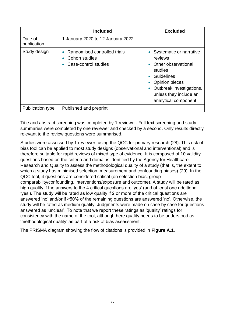|                         | <b>Included</b>                                                                                                      | <b>Excluded</b>                                                                                                                                                                           |
|-------------------------|----------------------------------------------------------------------------------------------------------------------|-------------------------------------------------------------------------------------------------------------------------------------------------------------------------------------------|
| Date of<br>publication  | 1 January 2020 to 12 January 2022                                                                                    |                                                                                                                                                                                           |
| Study design            | Randomised controlled trials<br>$\bullet$<br><b>Cohort studies</b><br>$\bullet$<br>Case-control studies<br>$\bullet$ | Systematic or narrative<br>reviews<br>Other observational<br>studies<br><b>Guidelines</b><br>Opinion pieces<br>Outbreak investigations,<br>unless they include an<br>analytical component |
| <b>Publication type</b> | Published and preprint                                                                                               |                                                                                                                                                                                           |

Title and abstract screening was completed by 1 reviewer. Full text screening and study summaries were completed by one reviewer and checked by a second. Only results directly relevant to the review questions were summarised.

Studies were assessed by 1 reviewer, using the QCC for primary research (28). This risk of bias tool can be applied to most study designs (observational and interventional) and is therefore suitable for rapid reviews of mixed type of evidence. It is composed of 10 validity questions based on the criteria and domains identified by the Agency for Healthcare Research and Quality to assess the methodological quality of a study (that is, the extent to which a study has minimised selection, measurement and confounding biases) (29). In the QCC tool, 4 questions are considered critical (on selection bias, group comparability/confounding, interventions/exposure and outcome). A study will be rated as high quality if the answers to the 4 critical questions are 'yes' (and at least one additional 'yes'). The study will be rated as low quality if 2 or more of the critical questions are answered 'no' and/or if ≥50% of the remaining questions are answered 'no'. Otherwise, the study will be rated as medium quality. Judgments were made on case by case for questions answered as 'unclear'. To note that we report these ratings as 'quality' ratings for consistency with the name of the tool, although here quality needs to be understood as 'methodological quality' as part of a risk of bias assessment.

The PRISMA diagram showing the flow of citations is provided in **Figure A.1**.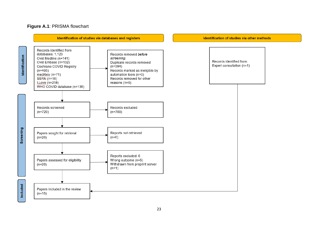#### **Figure A.1**: PRISMA flowchart